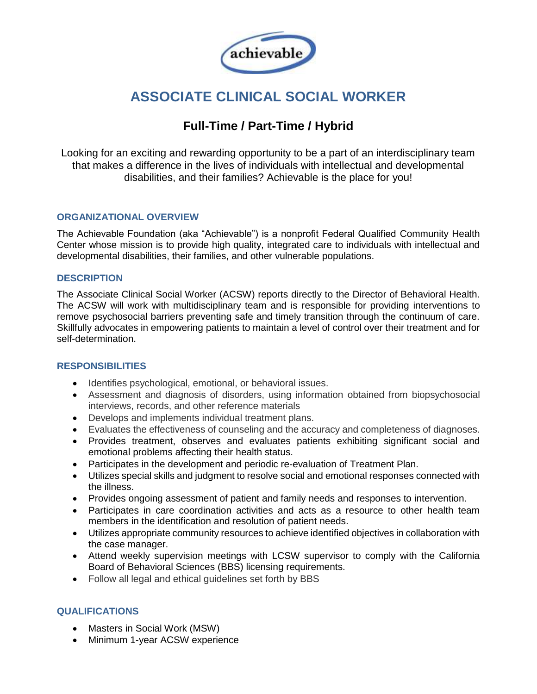

# **ASSOCIATE CLINICAL SOCIAL WORKER**

## **Full-Time / Part-Time / Hybrid**

Looking for an exciting and rewarding opportunity to be a part of an interdisciplinary team that makes a difference in the lives of individuals with intellectual and developmental disabilities, and their families? Achievable is the place for you!

#### **ORGANIZATIONAL OVERVIEW**

The Achievable Foundation (aka "Achievable") is a nonprofit Federal Qualified Community Health Center whose mission is to provide high quality, integrated care to individuals with intellectual and developmental disabilities, their families, and other vulnerable populations.

#### **DESCRIPTION**

The Associate Clinical Social Worker (ACSW) reports directly to the Director of Behavioral Health. The ACSW will work with multidisciplinary team and is responsible for providing interventions to remove psychosocial barriers preventing safe and timely transition through the continuum of care. Skillfully advocates in empowering patients to maintain a level of control over their treatment and for self-determination.

#### **RESPONSIBILITIES**

- Identifies psychological, emotional, or behavioral issues.
- Assessment and diagnosis of disorders, using information obtained from biopsychosocial interviews, records, and other reference materials
- Develops and implements individual treatment plans.
- Evaluates the effectiveness of counseling and the accuracy and completeness of diagnoses.
- Provides treatment, observes and evaluates patients exhibiting significant social and emotional problems affecting their health status.
- Participates in the development and periodic re-evaluation of Treatment Plan.
- Utilizes special skills and judgment to resolve social and emotional responses connected with the illness.
- Provides ongoing assessment of patient and family needs and responses to intervention.
- Participates in care coordination activities and acts as a resource to other health team members in the identification and resolution of patient needs.
- Utilizes appropriate community resources to achieve identified objectives in collaboration with the case manager.
- Attend weekly supervision meetings with LCSW supervisor to comply with the California Board of Behavioral Sciences (BBS) licensing requirements.
- Follow all legal and ethical guidelines set forth by BBS

### **QUALIFICATIONS**

- Masters in Social Work (MSW)
- Minimum 1-year ACSW experience